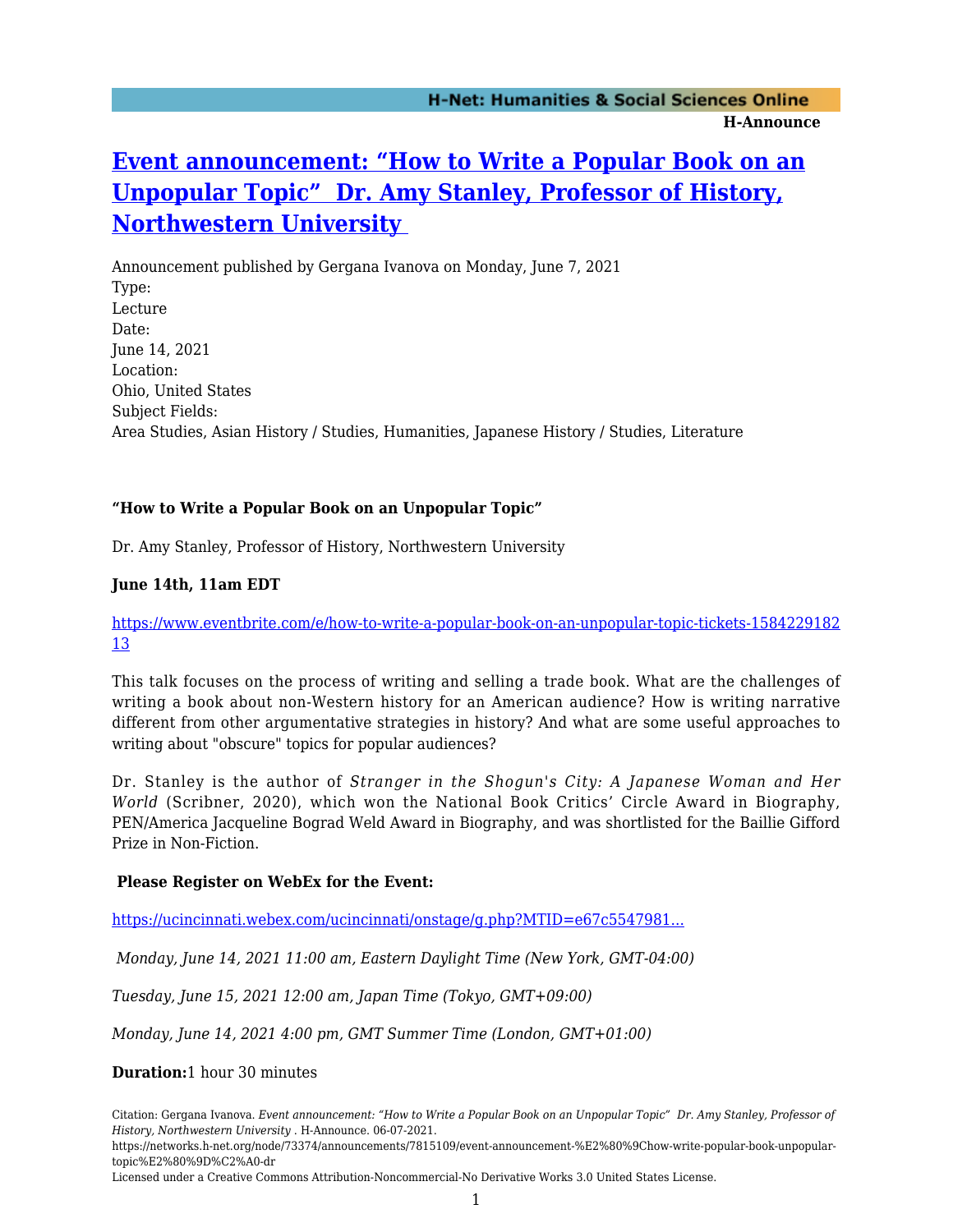# **[Event announcement: "How to Write a Popular Book on an](https://networks.h-net.org/node/73374/announcements/7815109/event-announcement-%E2%80%9Chow-write-popular-book-unpopular-topic%E2%80%9D%C2%A0-dr) [Unpopular Topic" Dr. Amy Stanley, Professor of History,](https://networks.h-net.org/node/73374/announcements/7815109/event-announcement-%E2%80%9Chow-write-popular-book-unpopular-topic%E2%80%9D%C2%A0-dr) [Northwestern University](https://networks.h-net.org/node/73374/announcements/7815109/event-announcement-%E2%80%9Chow-write-popular-book-unpopular-topic%E2%80%9D%C2%A0-dr)**

Announcement published by Gergana Ivanova on Monday, June 7, 2021 Type: Lecture Date: June 14, 2021 Location: Ohio, United States Subject Fields: Area Studies, Asian History / Studies, Humanities, Japanese History / Studies, Literature

# **"How to Write a Popular Book on an Unpopular Topic"**

Dr. Amy Stanley, Professor of History, Northwestern University

# **June 14th, 11am EDT**

#### [https://www.eventbrite.com/e/how-to-write-a-popular-book-on-an-unpopular-topic-tickets-1584229182](https://www.eventbrite.com/e/how-to-write-a-popular-book-on-an-unpopular-topic-tickets-158422918213) [13](https://www.eventbrite.com/e/how-to-write-a-popular-book-on-an-unpopular-topic-tickets-158422918213)

This talk focuses on the process of writing and selling a trade book. What are the challenges of writing a book about non-Western history for an American audience? How is writing narrative different from other argumentative strategies in history? And what are some useful approaches to writing about "obscure" topics for popular audiences?

Dr. Stanley is the author of *Stranger in the Shogun's City: A Japanese Woman and Her World* (Scribner, 2020), which won the National Book Critics' Circle Award in Biography, PEN/America Jacqueline Bograd Weld Award in Biography, and was shortlisted for the Baillie Gifford Prize in Non-Fiction.

#### **Please Register on WebEx for the Event:**

[https://ucincinnati.webex.com/ucincinnati/onstage/g.php?MTID=e67c5547981...](https://ucincinnati.webex.com/ucincinnati/onstage/g.php?MTID=e67c5547981e7a7d0ae4682c48b292b12 )

 *Monday, June 14, 2021 11:00 am, Eastern Daylight Time (New York, GMT-04:00)*

*Tuesday, June 15, 2021 12:00 am, Japan Time (Tokyo, GMT+09:00)*

*Monday, June 14, 2021 4:00 pm, GMT Summer Time (London, GMT+01:00)*

#### **Duration:**1 hour 30 minutes

Citation: Gergana Ivanova. *Event announcement: "How to Write a Popular Book on an Unpopular Topic" Dr. Amy Stanley, Professor of History, Northwestern University* . H-Announce. 06-07-2021.

https://networks.h-net.org/node/73374/announcements/7815109/event-announcement-%E2%80%9Chow-write-popular-book-unpopulartopic%E2%80%9D%C2%A0-dr

Licensed under a Creative Commons Attribution-Noncommercial-No Derivative Works 3.0 United States License.